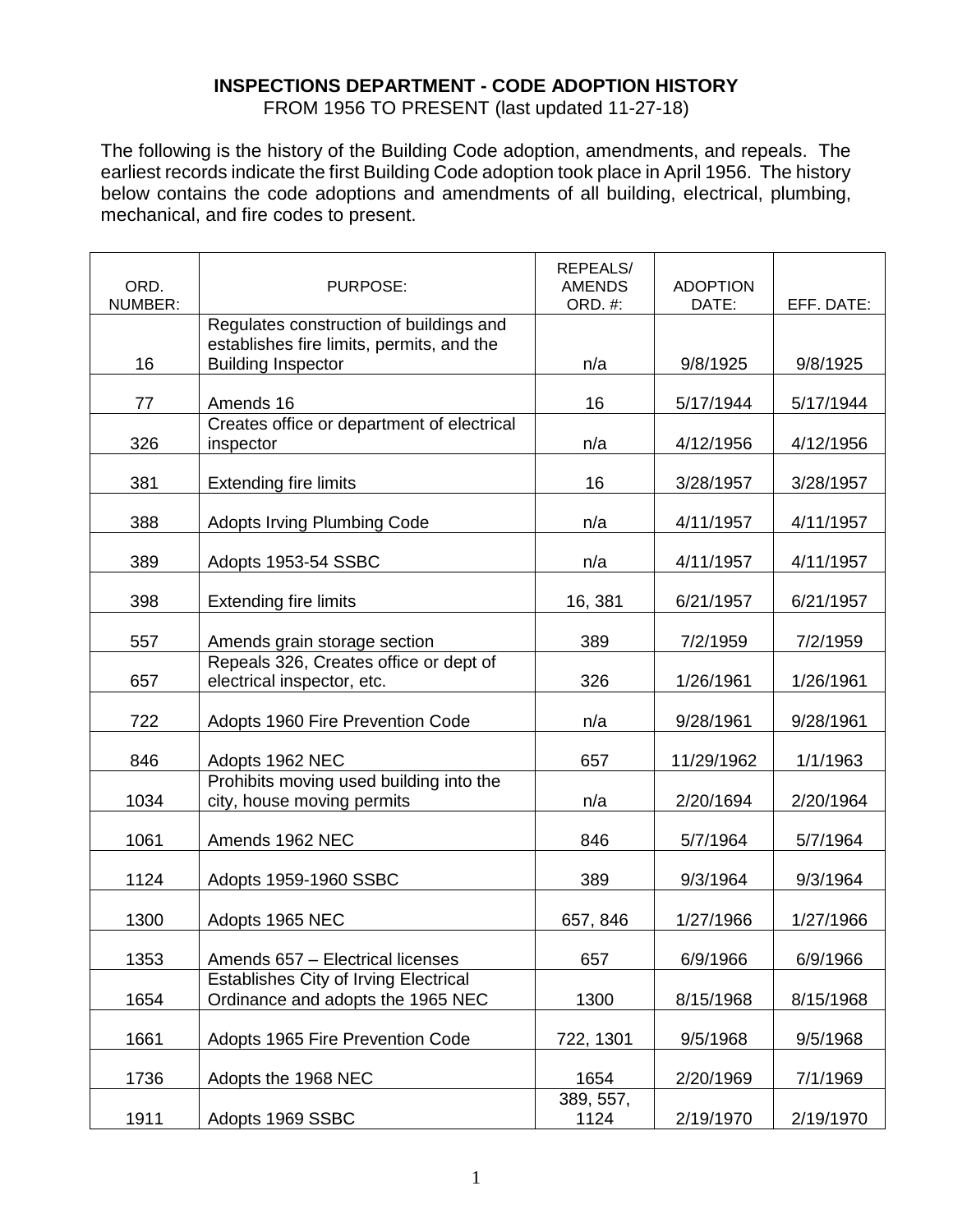## **INSPECTIONS DEPARTMENT - CODE ADOPTION HISTORY**

FROM 1956 TO PRESENT (last updated 11-27-18)

The following is the history of the Building Code adoption, amendments, and repeals. The earliest records indicate the first Building Code adoption took place in April 1956. The history below contains the code adoptions and amendments of all building, electrical, plumbing, mechanical, and fire codes to present.

| ORD.<br>NUMBER: | PURPOSE:                                                              | <b>REPEALS/</b><br><b>AMENDS</b><br><b>ORD. #:</b> | <b>ADOPTION</b><br>DATE: | EFF. DATE: |
|-----------------|-----------------------------------------------------------------------|----------------------------------------------------|--------------------------|------------|
|                 | Regulates construction of buildings and                               |                                                    |                          |            |
|                 | establishes fire limits, permits, and the                             |                                                    |                          |            |
| 16              | <b>Building Inspector</b>                                             | n/a                                                | 9/8/1925                 | 9/8/1925   |
| 77              | Amends 16                                                             | 16                                                 | 5/17/1944                | 5/17/1944  |
| 326             | Creates office or department of electrical<br>inspector               | n/a                                                | 4/12/1956                | 4/12/1956  |
|                 |                                                                       |                                                    |                          |            |
| 381             | <b>Extending fire limits</b>                                          | 16                                                 | 3/28/1957                | 3/28/1957  |
| 388             | <b>Adopts Irving Plumbing Code</b>                                    | n/a                                                | 4/11/1957                | 4/11/1957  |
| 389             | Adopts 1953-54 SSBC                                                   | n/a                                                | 4/11/1957                | 4/11/1957  |
| 398             | <b>Extending fire limits</b>                                          | 16, 381                                            | 6/21/1957                | 6/21/1957  |
| 557             | Amends grain storage section                                          | 389                                                | 7/2/1959                 | 7/2/1959   |
| 657             | Repeals 326, Creates office or dept of<br>electrical inspector, etc.  | 326                                                | 1/26/1961                | 1/26/1961  |
| 722             | Adopts 1960 Fire Prevention Code                                      | n/a                                                | 9/28/1961                | 9/28/1961  |
| 846             | Adopts 1962 NEC                                                       | 657                                                | 11/29/1962               | 1/1/1963   |
| 1034            | Prohibits moving used building into the<br>city, house moving permits | n/a                                                | 2/20/1694                | 2/20/1964  |
| 1061            | Amends 1962 NEC                                                       | 846                                                | 5/7/1964                 | 5/7/1964   |
| 1124            | Adopts 1959-1960 SSBC                                                 | 389                                                | 9/3/1964                 | 9/3/1964   |
| 1300            | Adopts 1965 NEC                                                       | 657, 846                                           | 1/27/1966                | 1/27/1966  |
| 1353            | Amends 657 - Electrical licenses                                      | 657                                                | 6/9/1966                 | 6/9/1966   |
|                 | <b>Establishes City of Irving Electrical</b>                          |                                                    |                          |            |
| 1654            | Ordinance and adopts the 1965 NEC                                     | 1300                                               | 8/15/1968                | 8/15/1968  |
| 1661            | Adopts 1965 Fire Prevention Code                                      | 722, 1301                                          | 9/5/1968                 | 9/5/1968   |
| 1736            | Adopts the 1968 NEC                                                   | 1654                                               | 2/20/1969                | 7/1/1969   |
| 1911            | Adopts 1969 SSBC                                                      | 389, 557,<br>1124                                  | 2/19/1970                | 2/19/1970  |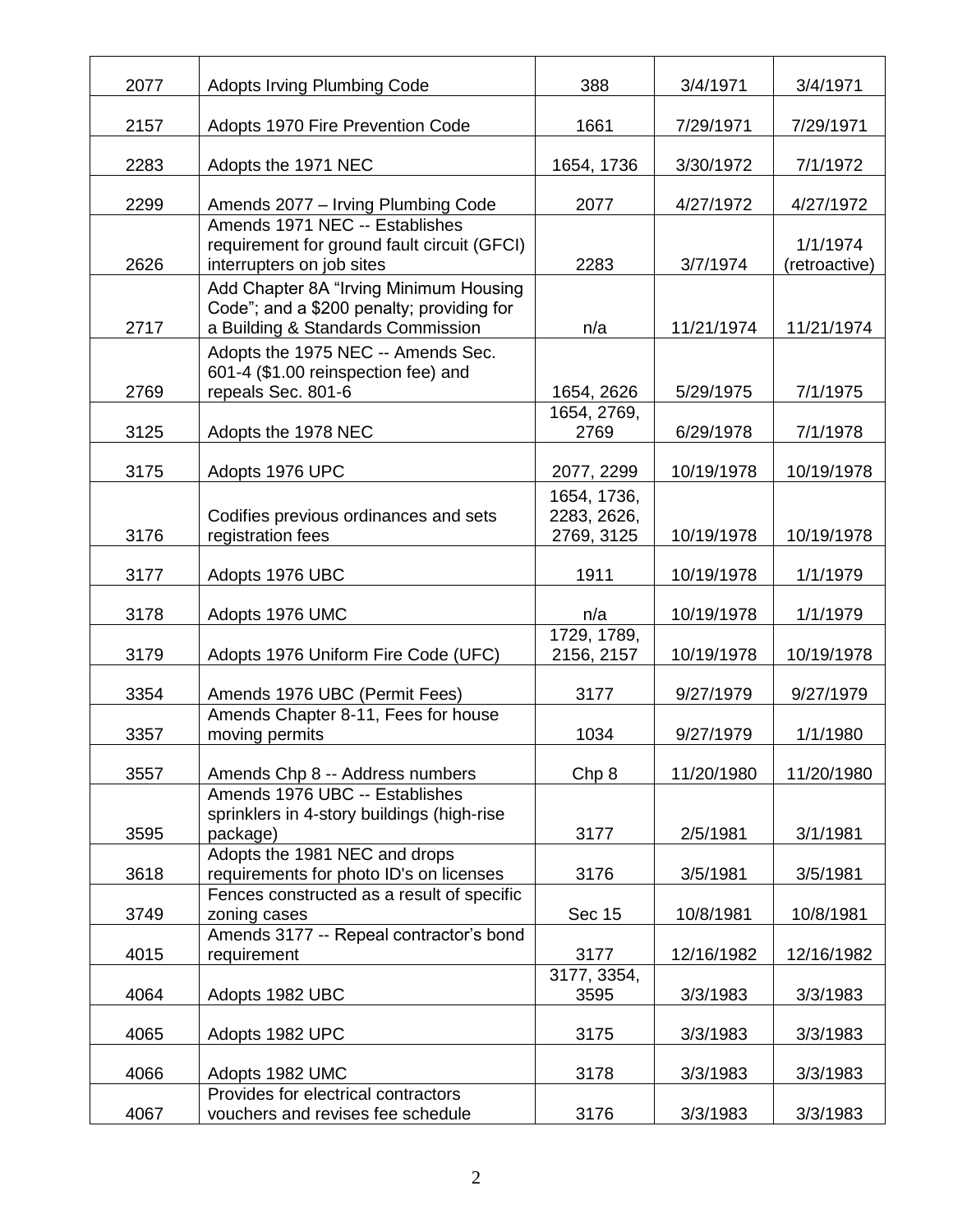| 2077 | <b>Adopts Irving Plumbing Code</b>                                                                                       | 388                                      | 3/4/1971   | 3/4/1971                  |
|------|--------------------------------------------------------------------------------------------------------------------------|------------------------------------------|------------|---------------------------|
| 2157 | Adopts 1970 Fire Prevention Code                                                                                         | 1661                                     | 7/29/1971  | 7/29/1971                 |
| 2283 | Adopts the 1971 NEC                                                                                                      | 1654, 1736                               | 3/30/1972  | 7/1/1972                  |
| 2299 | Amends 2077 - Irving Plumbing Code                                                                                       | 2077                                     | 4/27/1972  | 4/27/1972                 |
| 2626 | Amends 1971 NEC -- Establishes<br>requirement for ground fault circuit (GFCI)<br>interrupters on job sites               | 2283                                     | 3/7/1974   | 1/1/1974<br>(retroactive) |
| 2717 | Add Chapter 8A "Irving Minimum Housing<br>Code"; and a \$200 penalty; providing for<br>a Building & Standards Commission | n/a                                      | 11/21/1974 | 11/21/1974                |
| 2769 | Adopts the 1975 NEC -- Amends Sec.<br>601-4 (\$1.00 reinspection fee) and<br>repeals Sec. 801-6                          | 1654, 2626                               | 5/29/1975  | 7/1/1975                  |
| 3125 | Adopts the 1978 NEC                                                                                                      | 1654, 2769,<br>2769                      | 6/29/1978  | 7/1/1978                  |
| 3175 | Adopts 1976 UPC                                                                                                          | 2077, 2299                               | 10/19/1978 | 10/19/1978                |
| 3176 | Codifies previous ordinances and sets<br>registration fees                                                               | 1654, 1736,<br>2283, 2626,<br>2769, 3125 | 10/19/1978 | 10/19/1978                |
| 3177 | Adopts 1976 UBC                                                                                                          | 1911                                     | 10/19/1978 | 1/1/1979                  |
| 3178 | Adopts 1976 UMC                                                                                                          | n/a                                      | 10/19/1978 | 1/1/1979                  |
| 3179 | Adopts 1976 Uniform Fire Code (UFC)                                                                                      | 1729, 1789,<br>2156, 2157                | 10/19/1978 | 10/19/1978                |
| 3354 | Amends 1976 UBC (Permit Fees)                                                                                            | 3177                                     | 9/27/1979  | 9/27/1979                 |
| 3357 | Amends Chapter 8-11, Fees for house<br>moving permits                                                                    | 1034                                     | 9/27/1979  | 1/1/1980                  |
| 3557 | Amends Chp 8 -- Address numbers                                                                                          | Chp 8                                    | 11/20/1980 | 11/20/1980                |
| 3595 | Amends 1976 UBC -- Establishes<br>sprinklers in 4-story buildings (high-rise<br>package)                                 | 3177                                     | 2/5/1981   | 3/1/1981                  |
| 3618 | Adopts the 1981 NEC and drops<br>requirements for photo ID's on licenses                                                 | 3176                                     | 3/5/1981   | 3/5/1981                  |
| 3749 | Fences constructed as a result of specific<br>zoning cases                                                               | <b>Sec 15</b>                            | 10/8/1981  | 10/8/1981                 |
| 4015 | Amends 3177 -- Repeal contractor's bond<br>requirement                                                                   | 3177                                     | 12/16/1982 | 12/16/1982                |
| 4064 | Adopts 1982 UBC                                                                                                          | 3177, 3354,<br>3595                      | 3/3/1983   | 3/3/1983                  |
| 4065 | Adopts 1982 UPC                                                                                                          | 3175                                     | 3/3/1983   | 3/3/1983                  |
| 4066 | Adopts 1982 UMC                                                                                                          | 3178                                     | 3/3/1983   | 3/3/1983                  |
| 4067 | Provides for electrical contractors<br>vouchers and revises fee schedule                                                 | 3176                                     | 3/3/1983   | 3/3/1983                  |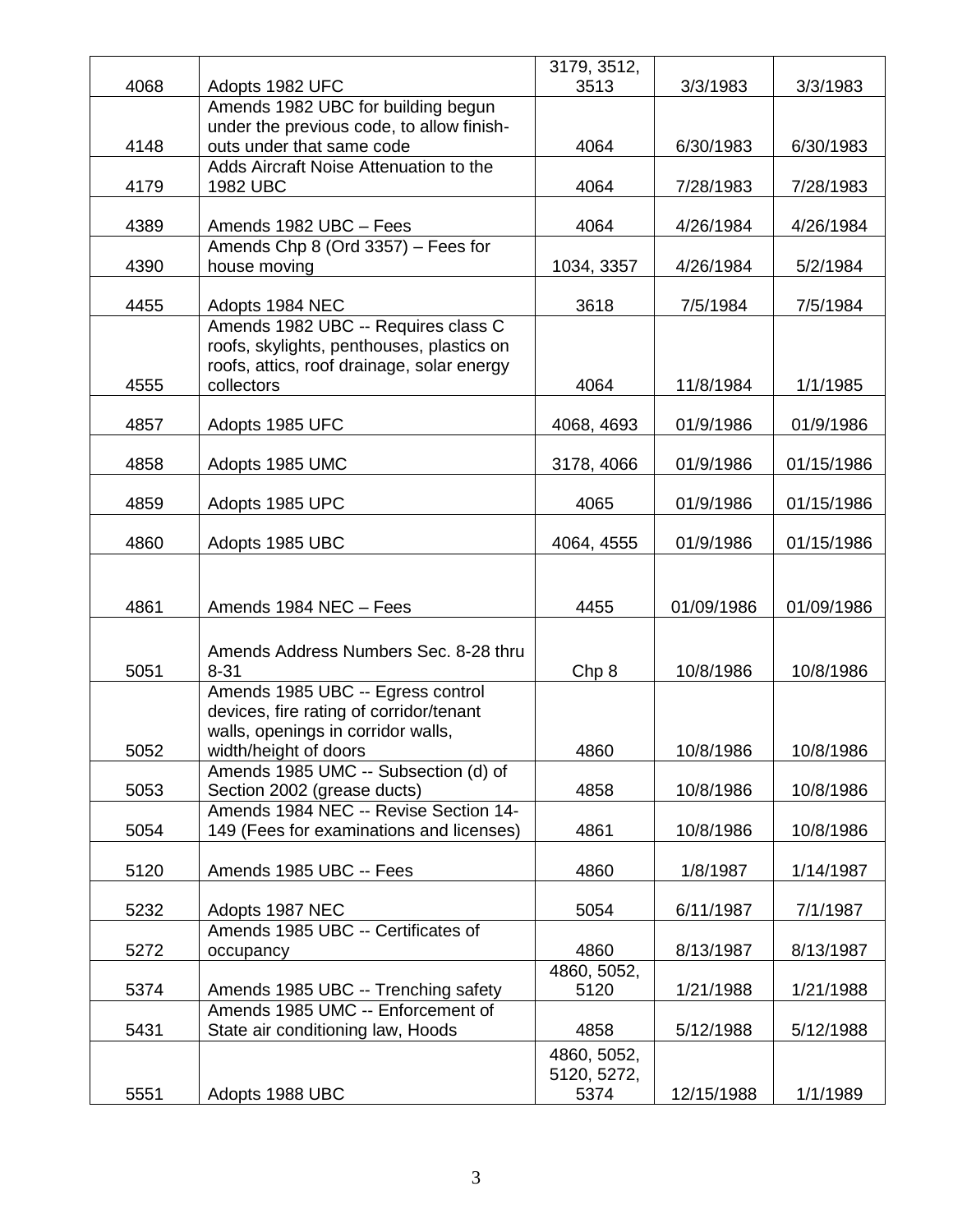|      |                                                                                                                                              | 3179, 3512,                |            |            |
|------|----------------------------------------------------------------------------------------------------------------------------------------------|----------------------------|------------|------------|
| 4068 | Adopts 1982 UFC                                                                                                                              | 3513                       | 3/3/1983   | 3/3/1983   |
|      | Amends 1982 UBC for building begun                                                                                                           |                            |            |            |
| 4148 | under the previous code, to allow finish-<br>outs under that same code                                                                       | 4064                       | 6/30/1983  | 6/30/1983  |
|      | Adds Aircraft Noise Attenuation to the                                                                                                       |                            |            |            |
| 4179 | 1982 UBC                                                                                                                                     | 4064                       | 7/28/1983  | 7/28/1983  |
| 4389 | Amends 1982 UBC - Fees                                                                                                                       | 4064                       | 4/26/1984  | 4/26/1984  |
| 4390 | Amends Chp 8 (Ord 3357) - Fees for<br>house moving                                                                                           | 1034, 3357                 | 4/26/1984  | 5/2/1984   |
| 4455 | Adopts 1984 NEC                                                                                                                              | 3618                       | 7/5/1984   | 7/5/1984   |
| 4555 | Amends 1982 UBC -- Requires class C<br>roofs, skylights, penthouses, plastics on<br>roofs, attics, roof drainage, solar energy<br>collectors | 4064                       | 11/8/1984  | 1/1/1985   |
| 4857 | Adopts 1985 UFC                                                                                                                              | 4068, 4693                 | 01/9/1986  | 01/9/1986  |
|      |                                                                                                                                              |                            |            |            |
| 4858 | Adopts 1985 UMC                                                                                                                              | 3178, 4066                 | 01/9/1986  | 01/15/1986 |
| 4859 | Adopts 1985 UPC                                                                                                                              | 4065                       | 01/9/1986  | 01/15/1986 |
| 4860 | Adopts 1985 UBC                                                                                                                              | 4064, 4555                 | 01/9/1986  | 01/15/1986 |
| 4861 | Amends 1984 NEC - Fees                                                                                                                       | 4455                       | 01/09/1986 | 01/09/1986 |
| 5051 | Amends Address Numbers Sec. 8-28 thru<br>$8 - 31$                                                                                            | Chp 8                      | 10/8/1986  | 10/8/1986  |
| 5052 | Amends 1985 UBC -- Egress control<br>devices, fire rating of corridor/tenant<br>walls, openings in corridor walls,<br>width/height of doors  | 4860                       | 10/8/1986  | 10/8/1986  |
| 5053 | Amends 1985 UMC -- Subsection (d) of<br>Section 2002 (grease ducts)                                                                          | 4858                       | 10/8/1986  | 10/8/1986  |
|      | Amends 1984 NEC -- Revise Section 14-                                                                                                        |                            |            |            |
| 5054 | 149 (Fees for examinations and licenses)                                                                                                     | 4861                       | 10/8/1986  | 10/8/1986  |
| 5120 | Amends 1985 UBC -- Fees                                                                                                                      | 4860                       | 1/8/1987   | 1/14/1987  |
| 5232 | Adopts 1987 NEC                                                                                                                              | 5054                       | 6/11/1987  | 7/1/1987   |
| 5272 | Amends 1985 UBC -- Certificates of<br>occupancy                                                                                              | 4860                       | 8/13/1987  | 8/13/1987  |
|      |                                                                                                                                              | 4860, 5052,                |            |            |
| 5374 | Amends 1985 UBC -- Trenching safety<br>Amends 1985 UMC -- Enforcement of                                                                     | 5120                       | 1/21/1988  | 1/21/1988  |
| 5431 | State air conditioning law, Hoods                                                                                                            | 4858                       | 5/12/1988  | 5/12/1988  |
|      |                                                                                                                                              | 4860, 5052,<br>5120, 5272, |            |            |
| 5551 | Adopts 1988 UBC                                                                                                                              | 5374                       | 12/15/1988 | 1/1/1989   |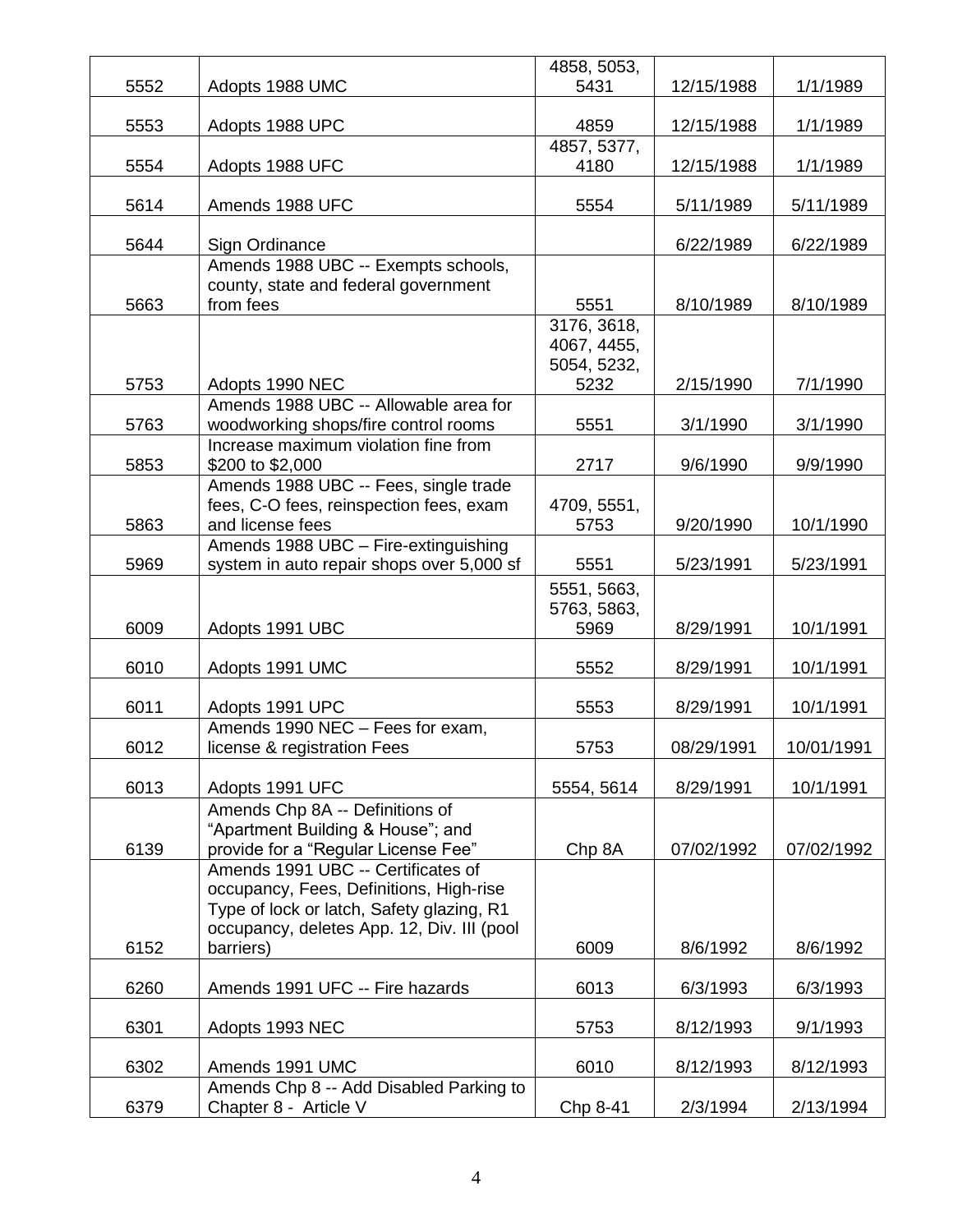|      |                                                            | 4858, 5053,         |            |            |
|------|------------------------------------------------------------|---------------------|------------|------------|
| 5552 | Adopts 1988 UMC                                            | 5431                | 12/15/1988 | 1/1/1989   |
|      |                                                            |                     |            |            |
| 5553 | Adopts 1988 UPC                                            | 4859                | 12/15/1988 | 1/1/1989   |
| 5554 | Adopts 1988 UFC                                            | 4857, 5377,<br>4180 | 12/15/1988 | 1/1/1989   |
|      |                                                            |                     |            |            |
| 5614 | Amends 1988 UFC                                            | 5554                | 5/11/1989  | 5/11/1989  |
|      |                                                            |                     |            |            |
| 5644 | Sign Ordinance                                             |                     | 6/22/1989  | 6/22/1989  |
|      | Amends 1988 UBC -- Exempts schools,                        |                     |            |            |
| 5663 | county, state and federal government<br>from fees          | 5551                | 8/10/1989  | 8/10/1989  |
|      |                                                            | 3176, 3618,         |            |            |
|      |                                                            | 4067, 4455,         |            |            |
|      |                                                            | 5054, 5232,         |            |            |
| 5753 | Adopts 1990 NEC                                            | 5232                | 2/15/1990  | 7/1/1990   |
|      | Amends 1988 UBC -- Allowable area for                      |                     |            |            |
| 5763 | woodworking shops/fire control rooms                       | 5551                | 3/1/1990   | 3/1/1990   |
|      | Increase maximum violation fine from                       |                     |            |            |
| 5853 | \$200 to \$2,000<br>Amends 1988 UBC -- Fees, single trade  | 2717                | 9/6/1990   | 9/9/1990   |
|      | fees, C-O fees, reinspection fees, exam                    | 4709, 5551,         |            |            |
| 5863 | and license fees                                           | 5753                | 9/20/1990  | 10/1/1990  |
|      | Amends 1988 UBC - Fire-extinguishing                       |                     |            |            |
| 5969 | system in auto repair shops over 5,000 sf                  | 5551                | 5/23/1991  | 5/23/1991  |
|      |                                                            | 5551, 5663,         |            |            |
|      |                                                            | 5763, 5863,         |            |            |
| 6009 | Adopts 1991 UBC                                            | 5969                | 8/29/1991  | 10/1/1991  |
| 6010 | Adopts 1991 UMC                                            | 5552                | 8/29/1991  | 10/1/1991  |
|      |                                                            |                     |            |            |
| 6011 | Adopts 1991 UPC                                            | 5553                | 8/29/1991  | 10/1/1991  |
|      | Amends 1990 NEC - Fees for exam,                           |                     |            |            |
| 6012 | license & registration Fees                                | 5753                | 08/29/1991 | 10/01/1991 |
| 6013 | Adopts 1991 UFC                                            | 5554, 5614          | 8/29/1991  | 10/1/1991  |
|      | Amends Chp 8A -- Definitions of                            |                     |            |            |
|      | "Apartment Building & House"; and                          |                     |            |            |
| 6139 | provide for a "Regular License Fee"                        | Chp 8A              | 07/02/1992 | 07/02/1992 |
|      | Amends 1991 UBC -- Certificates of                         |                     |            |            |
|      | occupancy, Fees, Definitions, High-rise                    |                     |            |            |
|      | Type of lock or latch, Safety glazing, R1                  |                     |            |            |
|      | occupancy, deletes App. 12, Div. III (pool                 |                     |            |            |
| 6152 | barriers)                                                  | 6009                | 8/6/1992   | 8/6/1992   |
| 6260 | Amends 1991 UFC -- Fire hazards                            | 6013                | 6/3/1993   | 6/3/1993   |
|      |                                                            |                     |            |            |
| 6301 | Adopts 1993 NEC                                            | 5753                | 8/12/1993  | 9/1/1993   |
|      |                                                            |                     |            |            |
| 6302 | Amends 1991 UMC<br>Amends Chp 8 -- Add Disabled Parking to | 6010                | 8/12/1993  | 8/12/1993  |
| 6379 | Chapter 8 - Article V                                      | Chp 8-41            | 2/3/1994   | 2/13/1994  |
|      |                                                            |                     |            |            |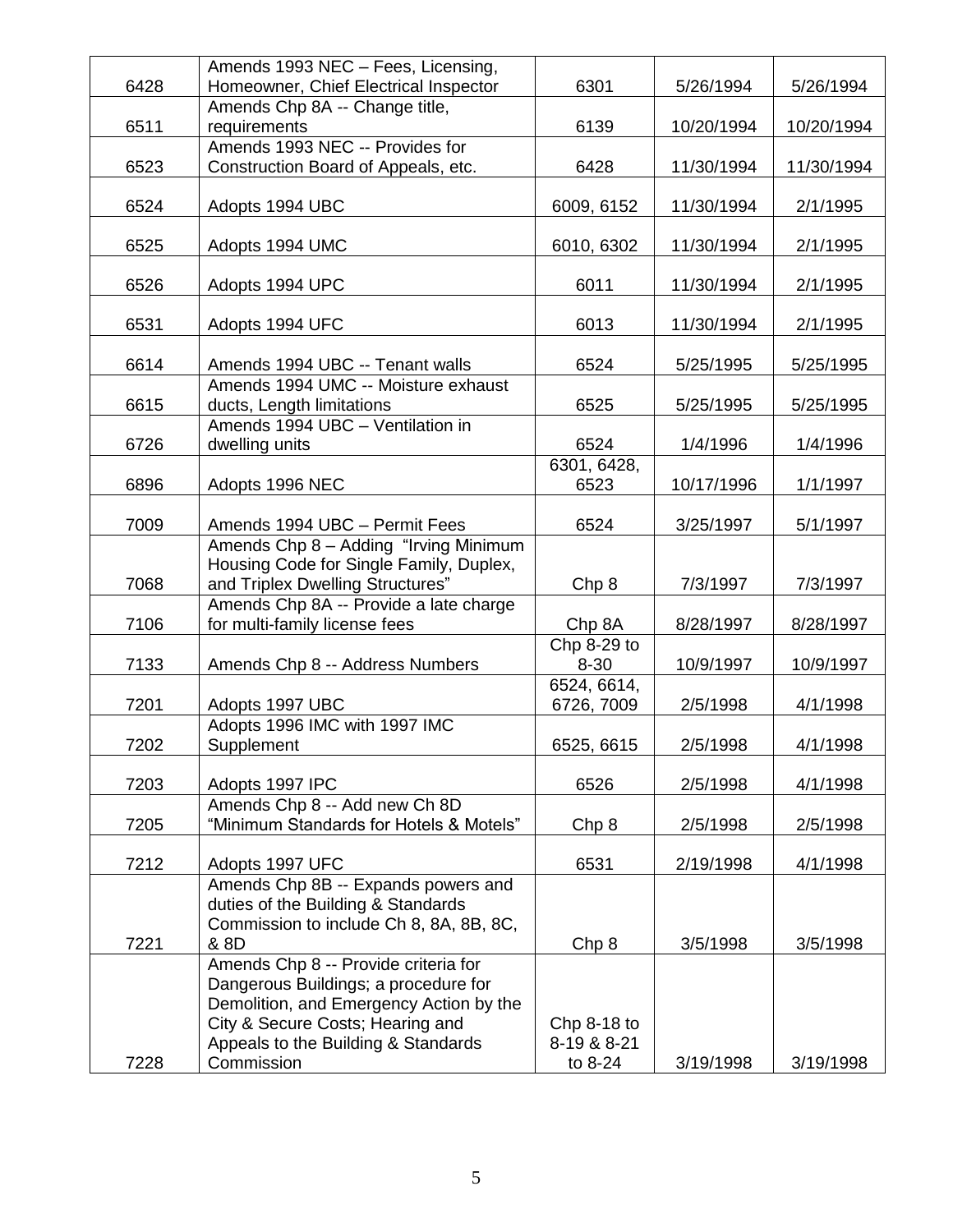|      | Amends 1993 NEC - Fees, Licensing,      |                  |            |            |
|------|-----------------------------------------|------------------|------------|------------|
| 6428 | Homeowner, Chief Electrical Inspector   | 6301             | 5/26/1994  | 5/26/1994  |
|      | Amends Chp 8A -- Change title,          |                  |            |            |
| 6511 | requirements                            | 6139             | 10/20/1994 | 10/20/1994 |
|      | Amends 1993 NEC -- Provides for         |                  |            |            |
| 6523 | Construction Board of Appeals, etc.     | 6428             | 11/30/1994 | 11/30/1994 |
|      |                                         |                  |            |            |
| 6524 | Adopts 1994 UBC                         | 6009, 6152       | 11/30/1994 | 2/1/1995   |
|      |                                         |                  |            |            |
| 6525 | Adopts 1994 UMC                         | 6010, 6302       | 11/30/1994 | 2/1/1995   |
|      |                                         |                  |            |            |
| 6526 | Adopts 1994 UPC                         | 6011             | 11/30/1994 | 2/1/1995   |
|      |                                         |                  |            |            |
| 6531 | Adopts 1994 UFC                         | 6013             | 11/30/1994 | 2/1/1995   |
|      |                                         |                  |            |            |
| 6614 | Amends 1994 UBC -- Tenant walls         | 6524             | 5/25/1995  | 5/25/1995  |
|      | Amends 1994 UMC -- Moisture exhaust     |                  |            |            |
|      |                                         |                  |            |            |
| 6615 | ducts, Length limitations               | 6525             | 5/25/1995  | 5/25/1995  |
|      | Amends 1994 UBC - Ventilation in        |                  |            |            |
| 6726 | dwelling units                          | 6524             | 1/4/1996   | 1/4/1996   |
|      |                                         | 6301, 6428,      |            |            |
| 6896 | Adopts 1996 NEC                         | 6523             | 10/17/1996 | 1/1/1997   |
|      |                                         |                  |            |            |
| 7009 | Amends 1994 UBC - Permit Fees           | 6524             | 3/25/1997  | 5/1/1997   |
|      | Amends Chp 8 - Adding "Irving Minimum   |                  |            |            |
|      | Housing Code for Single Family, Duplex, |                  |            |            |
| 7068 | and Triplex Dwelling Structures"        | Chp <sub>8</sub> | 7/3/1997   | 7/3/1997   |
|      | Amends Chp 8A -- Provide a late charge  |                  |            |            |
| 7106 | for multi-family license fees           | Chp 8A           | 8/28/1997  | 8/28/1997  |
|      |                                         | Chp 8-29 to      |            |            |
| 7133 | Amends Chp 8 -- Address Numbers         | $8 - 30$         | 10/9/1997  | 10/9/1997  |
|      |                                         | 6524, 6614,      |            |            |
| 7201 | Adopts 1997 UBC                         | 6726, 7009       | 2/5/1998   | 4/1/1998   |
|      | Adopts 1996 IMC with 1997 IMC           |                  |            |            |
| 7202 | Supplement                              | 6525, 6615       | 2/5/1998   | 4/1/1998   |
|      |                                         |                  |            |            |
| 7203 | Adopts 1997 IPC                         | 6526             | 2/5/1998   | 4/1/1998   |
|      | Amends Chp 8 -- Add new Ch 8D           |                  |            |            |
| 7205 | "Minimum Standards for Hotels & Motels" | Chp 8            | 2/5/1998   | 2/5/1998   |
|      |                                         |                  |            |            |
| 7212 | Adopts 1997 UFC                         | 6531             | 2/19/1998  | 4/1/1998   |
|      | Amends Chp 8B -- Expands powers and     |                  |            |            |
|      | duties of the Building & Standards      |                  |            |            |
|      | Commission to include Ch 8, 8A, 8B, 8C, |                  |            |            |
| 7221 | & 8D                                    | Chp 8            | 3/5/1998   | 3/5/1998   |
|      | Amends Chp 8 -- Provide criteria for    |                  |            |            |
|      | Dangerous Buildings; a procedure for    |                  |            |            |
|      | Demolition, and Emergency Action by the |                  |            |            |
|      | City & Secure Costs; Hearing and        | Chp $8-18$ to    |            |            |
|      | Appeals to the Building & Standards     | 8-19 & 8-21      |            |            |
| 7228 | Commission                              | to 8-24          | 3/19/1998  | 3/19/1998  |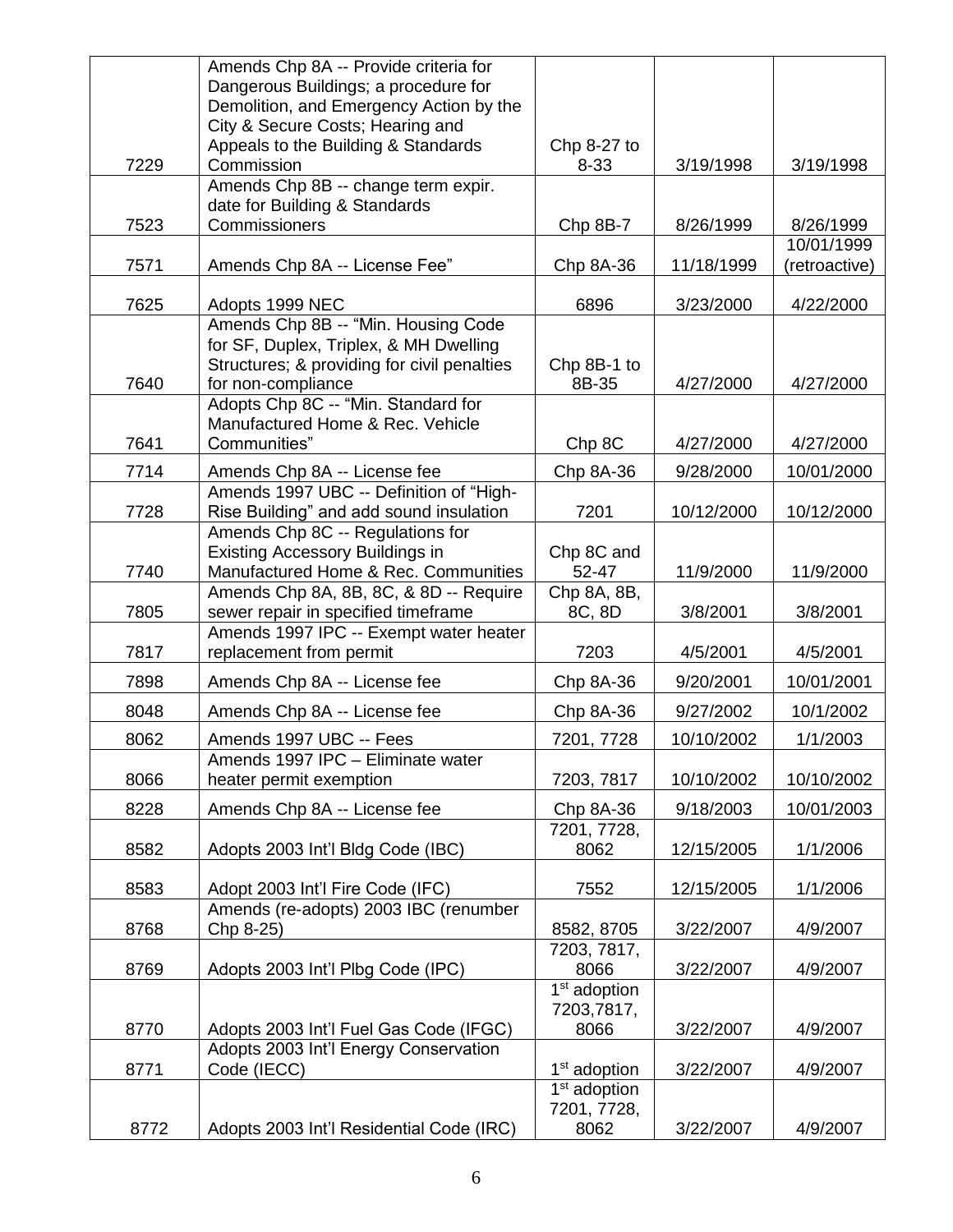|      | Amends Chp 8A -- Provide criteria for          |                           |            |                         |
|------|------------------------------------------------|---------------------------|------------|-------------------------|
|      | Dangerous Buildings; a procedure for           |                           |            |                         |
|      | Demolition, and Emergency Action by the        |                           |            |                         |
|      | City & Secure Costs; Hearing and               |                           |            |                         |
|      | Appeals to the Building & Standards            | Chp 8-27 to               |            |                         |
| 7229 | Commission                                     | $8 - 33$                  | 3/19/1998  | 3/19/1998               |
|      | Amends Chp 8B -- change term expir.            |                           |            |                         |
|      | date for Building & Standards<br>Commissioners |                           |            |                         |
| 7523 |                                                | Chp 8B-7                  | 8/26/1999  | 8/26/1999<br>10/01/1999 |
| 7571 | Amends Chp 8A -- License Fee"                  | Chp 8A-36                 | 11/18/1999 | (retroactive)           |
|      |                                                |                           |            |                         |
| 7625 | Adopts 1999 NEC                                | 6896                      | 3/23/2000  | 4/22/2000               |
|      | Amends Chp 8B -- "Min. Housing Code            |                           |            |                         |
|      | for SF, Duplex, Triplex, & MH Dwelling         |                           |            |                         |
|      | Structures; & providing for civil penalties    | Chp 8B-1 to               |            |                         |
| 7640 | for non-compliance                             | 8B-35                     | 4/27/2000  | 4/27/2000               |
|      | Adopts Chp 8C -- "Min. Standard for            |                           |            |                         |
|      | Manufactured Home & Rec. Vehicle               |                           |            |                         |
| 7641 | Communities"                                   | Chp 8C                    | 4/27/2000  | 4/27/2000               |
| 7714 | Amends Chp 8A -- License fee                   | Chp 8A-36                 | 9/28/2000  | 10/01/2000              |
|      | Amends 1997 UBC -- Definition of "High-        |                           |            |                         |
| 7728 | Rise Building" and add sound insulation        | 7201                      | 10/12/2000 | 10/12/2000              |
|      | Amends Chp 8C -- Regulations for               |                           |            |                         |
|      | Existing Accessory Buildings in                | Chp 8C and                |            |                         |
| 7740 | Manufactured Home & Rec. Communities           | 52-47                     | 11/9/2000  | 11/9/2000               |
|      | Amends Chp 8A, 8B, 8C, & 8D -- Require         | $Chp$ 8A, 8B,             |            |                         |
| 7805 | sewer repair in specified timeframe            | 8C, 8D                    | 3/8/2001   | 3/8/2001                |
|      | Amends 1997 IPC -- Exempt water heater         |                           |            |                         |
| 7817 | replacement from permit                        | 7203                      | 4/5/2001   | 4/5/2001                |
| 7898 | Amends Chp 8A -- License fee                   | Chp 8A-36                 | 9/20/2001  | 10/01/2001              |
| 8048 | Amends Chp 8A -- License fee                   | Chp 8A-36                 | 9/27/2002  | 10/1/2002               |
| 8062 | Amends 1997 UBC -- Fees                        | 7201, 7728                | 10/10/2002 | 1/1/2003                |
|      | Amends 1997 IPC - Eliminate water              |                           |            |                         |
| 8066 | heater permit exemption                        | 7203, 7817                | 10/10/2002 | 10/10/2002              |
| 8228 | Amends Chp 8A -- License fee                   | Chp 8A-36                 | 9/18/2003  | 10/01/2003              |
|      |                                                | 7201, 7728,               |            |                         |
| 8582 | Adopts 2003 Int'l Bldg Code (IBC)              | 8062                      | 12/15/2005 | 1/1/2006                |
|      |                                                |                           |            |                         |
| 8583 | Adopt 2003 Int'l Fire Code (IFC)               | 7552                      | 12/15/2005 | 1/1/2006                |
|      | Amends (re-adopts) 2003 IBC (renumber          |                           |            |                         |
| 8768 | Chp 8-25)                                      | 8582, 8705<br>7203, 7817, | 3/22/2007  | 4/9/2007                |
| 8769 | Adopts 2003 Int'l Plbg Code (IPC)              | 8066                      | 3/22/2007  | 4/9/2007                |
|      |                                                | 1 <sup>st</sup> adoption  |            |                         |
|      |                                                | 7203,7817,                |            |                         |
| 8770 | Adopts 2003 Int'l Fuel Gas Code (IFGC)         | 8066                      | 3/22/2007  | 4/9/2007                |
|      | Adopts 2003 Int'l Energy Conservation          |                           |            |                         |
| 8771 | Code (IECC)                                    | 1 <sup>st</sup> adoption  | 3/22/2007  | 4/9/2007                |
|      |                                                | 1 <sup>st</sup> adoption  |            |                         |
|      |                                                | 7201, 7728,               |            |                         |
| 8772 | Adopts 2003 Int'l Residential Code (IRC)       | 8062                      | 3/22/2007  | 4/9/2007                |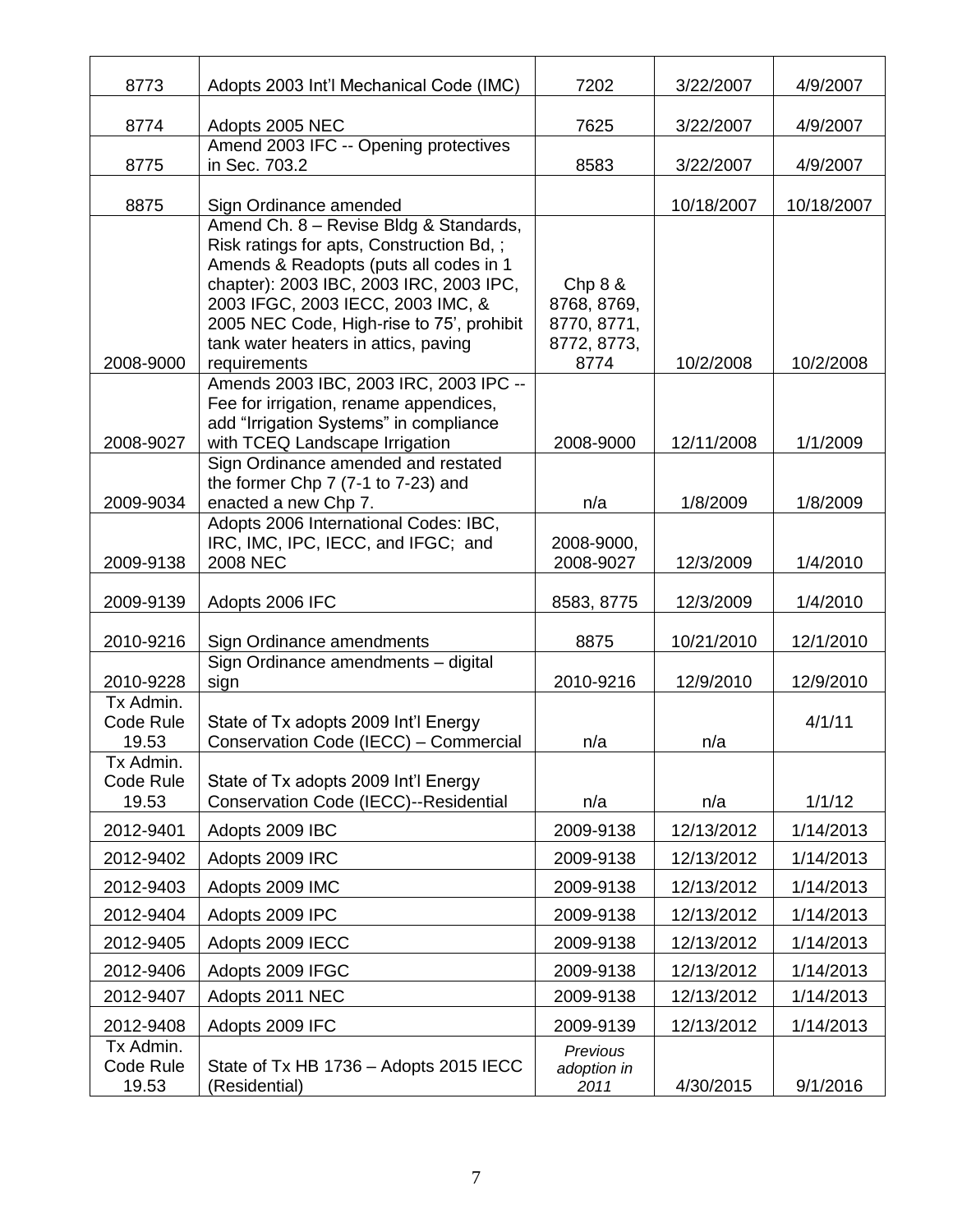| 8773                            | Adopts 2003 Int'l Mechanical Code (IMC)                                                                                                                                                                                                                                                                            | 7202                                                         | 3/22/2007  | 4/9/2007   |
|---------------------------------|--------------------------------------------------------------------------------------------------------------------------------------------------------------------------------------------------------------------------------------------------------------------------------------------------------------------|--------------------------------------------------------------|------------|------------|
| 8774                            | Adopts 2005 NEC                                                                                                                                                                                                                                                                                                    | 7625                                                         | 3/22/2007  | 4/9/2007   |
| 8775                            | Amend 2003 IFC -- Opening protectives<br>in Sec. 703.2                                                                                                                                                                                                                                                             | 8583                                                         | 3/22/2007  | 4/9/2007   |
| 8875                            | Sign Ordinance amended                                                                                                                                                                                                                                                                                             |                                                              | 10/18/2007 | 10/18/2007 |
| 2008-9000                       | Amend Ch. 8 - Revise Bldg & Standards,<br>Risk ratings for apts, Construction Bd, ;<br>Amends & Readopts (puts all codes in 1<br>chapter): 2003 IBC, 2003 IRC, 2003 IPC,<br>2003 IFGC, 2003 IECC, 2003 IMC, &<br>2005 NEC Code, High-rise to 75', prohibit<br>tank water heaters in attics, paving<br>requirements | Chp 8 &<br>8768, 8769,<br>8770, 8771,<br>8772, 8773,<br>8774 | 10/2/2008  | 10/2/2008  |
| 2008-9027                       | Amends 2003 IBC, 2003 IRC, 2003 IPC --<br>Fee for irrigation, rename appendices,<br>add "Irrigation Systems" in compliance<br>with TCEQ Landscape Irrigation                                                                                                                                                       | 2008-9000                                                    | 12/11/2008 | 1/1/2009   |
| 2009-9034                       | Sign Ordinance amended and restated<br>the former Chp 7 (7-1 to 7-23) and<br>enacted a new Chp 7.<br>Adopts 2006 International Codes: IBC,                                                                                                                                                                         | n/a                                                          | 1/8/2009   | 1/8/2009   |
| 2009-9138                       | IRC, IMC, IPC, IECC, and IFGC; and<br><b>2008 NEC</b>                                                                                                                                                                                                                                                              | 2008-9000,<br>2008-9027                                      | 12/3/2009  | 1/4/2010   |
| 2009-9139                       | Adopts 2006 IFC                                                                                                                                                                                                                                                                                                    | 8583, 8775                                                   | 12/3/2009  | 1/4/2010   |
| 2010-9216                       | Sign Ordinance amendments                                                                                                                                                                                                                                                                                          | 8875                                                         | 10/21/2010 | 12/1/2010  |
| 2010-9228                       | Sign Ordinance amendments - digital<br>sign                                                                                                                                                                                                                                                                        | 2010-9216                                                    | 12/9/2010  | 12/9/2010  |
| Tx Admin.<br>Code Rule<br>19.53 | State of Tx adopts 2009 Int'l Energy<br>Conservation Code (IECC) - Commercial                                                                                                                                                                                                                                      | n/a                                                          | n/a        | 4/1/11     |
| Tx Admin.<br>Code Rule<br>19.53 | State of Tx adopts 2009 Int'l Energy<br>Conservation Code (IECC)--Residential                                                                                                                                                                                                                                      | n/a                                                          | n/a        | 1/1/12     |
| 2012-9401                       | Adopts 2009 IBC                                                                                                                                                                                                                                                                                                    | 2009-9138                                                    | 12/13/2012 | 1/14/2013  |
| 2012-9402                       | Adopts 2009 IRC                                                                                                                                                                                                                                                                                                    | 2009-9138                                                    | 12/13/2012 | 1/14/2013  |
| 2012-9403                       | Adopts 2009 IMC                                                                                                                                                                                                                                                                                                    | 2009-9138                                                    | 12/13/2012 | 1/14/2013  |
| 2012-9404                       | Adopts 2009 IPC                                                                                                                                                                                                                                                                                                    | 2009-9138                                                    | 12/13/2012 | 1/14/2013  |
| 2012-9405                       | Adopts 2009 IECC                                                                                                                                                                                                                                                                                                   | 2009-9138                                                    | 12/13/2012 | 1/14/2013  |
| 2012-9406                       | Adopts 2009 IFGC                                                                                                                                                                                                                                                                                                   | 2009-9138                                                    | 12/13/2012 | 1/14/2013  |
| 2012-9407                       | Adopts 2011 NEC                                                                                                                                                                                                                                                                                                    | 2009-9138                                                    | 12/13/2012 | 1/14/2013  |
| 2012-9408                       | Adopts 2009 IFC                                                                                                                                                                                                                                                                                                    | 2009-9139                                                    | 12/13/2012 | 1/14/2013  |
| Tx Admin.<br>Code Rule<br>19.53 | State of Tx HB 1736 - Adopts 2015 IECC<br>(Residential)                                                                                                                                                                                                                                                            | Previous<br>adoption in<br>2011                              | 4/30/2015  | 9/1/2016   |